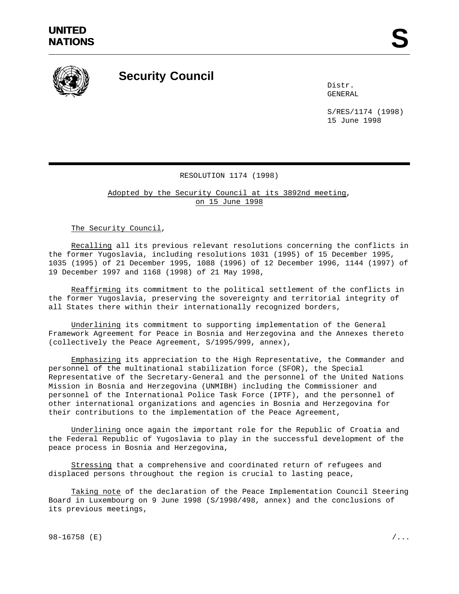

## **Security Council**

Distr. GENERAL

S/RES/1174 (1998) 15 June 1998

## RESOLUTION 1174 (1998)

Adopted by the Security Council at its 3892nd meeting, on 15 June 1998

The Security Council,

Recalling all its previous relevant resolutions concerning the conflicts in the former Yugoslavia, including resolutions 1031 (1995) of 15 December 1995, 1035 (1995) of 21 December 1995, 1088 (1996) of 12 December 1996, 1144 (1997) of 19 December 1997 and 1168 (1998) of 21 May 1998,

Reaffirming its commitment to the political settlement of the conflicts in the former Yugoslavia, preserving the sovereignty and territorial integrity of all States there within their internationally recognized borders,

Underlining its commitment to supporting implementation of the General Framework Agreement for Peace in Bosnia and Herzegovina and the Annexes thereto (collectively the Peace Agreement, S/1995/999, annex),

Emphasizing its appreciation to the High Representative, the Commander and personnel of the multinational stabilization force (SFOR), the Special Representative of the Secretary-General and the personnel of the United Nations Mission in Bosnia and Herzegovina (UNMIBH) including the Commissioner and personnel of the International Police Task Force (IPTF), and the personnel of other international organizations and agencies in Bosnia and Herzegovina for their contributions to the implementation of the Peace Agreement,

Underlining once again the important role for the Republic of Croatia and the Federal Republic of Yugoslavia to play in the successful development of the peace process in Bosnia and Herzegovina,

Stressing that a comprehensive and coordinated return of refugees and displaced persons throughout the region is crucial to lasting peace,

Taking note of the declaration of the Peace Implementation Council Steering Board in Luxembourg on 9 June 1998 (S/1998/498, annex) and the conclusions of its previous meetings,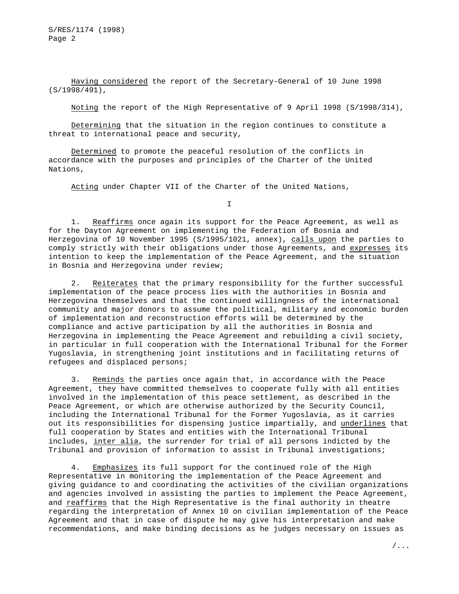S/RES/1174 (1998) Page 2

Having considered the report of the Secretary-General of 10 June 1998 (S/1998/491),

Noting the report of the High Representative of 9 April 1998 (S/1998/314),

Determining that the situation in the region continues to constitute a threat to international peace and security,

Determined to promote the peaceful resolution of the conflicts in accordance with the purposes and principles of the Charter of the United Nations,

Acting under Chapter VII of the Charter of the United Nations,

I

1. Reaffirms once again its support for the Peace Agreement, as well as for the Dayton Agreement on implementing the Federation of Bosnia and Herzegovina of 10 November 1995 (S/1995/1021, annex), calls upon the parties to comply strictly with their obligations under those Agreements, and expresses its intention to keep the implementation of the Peace Agreement, and the situation in Bosnia and Herzegovina under review;

2. Reiterates that the primary responsibility for the further successful implementation of the peace process lies with the authorities in Bosnia and Herzegovina themselves and that the continued willingness of the international community and major donors to assume the political, military and economic burden of implementation and reconstruction efforts will be determined by the compliance and active participation by all the authorities in Bosnia and Herzegovina in implementing the Peace Agreement and rebuilding a civil society, in particular in full cooperation with the International Tribunal for the Former Yugoslavia, in strengthening joint institutions and in facilitating returns of refugees and displaced persons;

3. Reminds the parties once again that, in accordance with the Peace Agreement, they have committed themselves to cooperate fully with all entities involved in the implementation of this peace settlement, as described in the Peace Agreement, or which are otherwise authorized by the Security Council, including the International Tribunal for the Former Yugoslavia, as it carries out its responsibilities for dispensing justice impartially, and underlines that full cooperation by States and entities with the International Tribunal includes, inter alia, the surrender for trial of all persons indicted by the Tribunal and provision of information to assist in Tribunal investigations;

4. Emphasizes its full support for the continued role of the High Representative in monitoring the implementation of the Peace Agreement and giving guidance to and coordinating the activities of the civilian organizations and agencies involved in assisting the parties to implement the Peace Agreement, and reaffirms that the High Representative is the final authority in theatre regarding the interpretation of Annex 10 on civilian implementation of the Peace Agreement and that in case of dispute he may give his interpretation and make recommendations, and make binding decisions as he judges necessary on issues as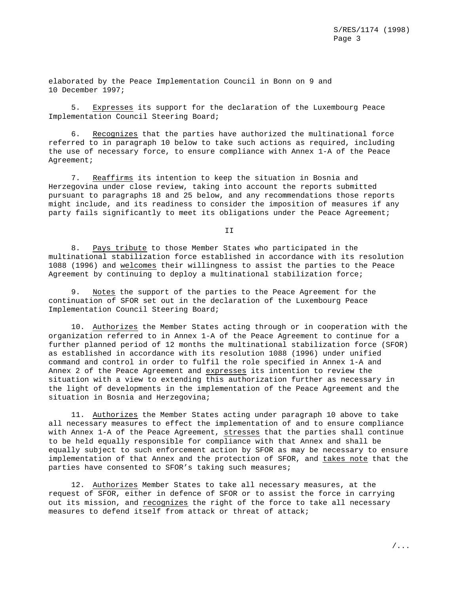elaborated by the Peace Implementation Council in Bonn on 9 and 10 December 1997;

5. Expresses its support for the declaration of the Luxembourg Peace Implementation Council Steering Board;

6. Recognizes that the parties have authorized the multinational force referred to in paragraph 10 below to take such actions as required, including the use of necessary force, to ensure compliance with Annex 1-A of the Peace Agreement;

7. Reaffirms its intention to keep the situation in Bosnia and Herzegovina under close review, taking into account the reports submitted pursuant to paragraphs 18 and 25 below, and any recommendations those reports might include, and its readiness to consider the imposition of measures if any party fails significantly to meet its obligations under the Peace Agreement;

T<sub>T</sub>

8. Pays tribute to those Member States who participated in the multinational stabilization force established in accordance with its resolution 1088 (1996) and welcomes their willingness to assist the parties to the Peace Agreement by continuing to deploy a multinational stabilization force;

9. Notes the support of the parties to the Peace Agreement for the continuation of SFOR set out in the declaration of the Luxembourg Peace Implementation Council Steering Board;

10. Authorizes the Member States acting through or in cooperation with the organization referred to in Annex 1-A of the Peace Agreement to continue for a further planned period of 12 months the multinational stabilization force (SFOR) as established in accordance with its resolution 1088 (1996) under unified command and control in order to fulfil the role specified in Annex 1-A and Annex 2 of the Peace Agreement and expresses its intention to review the situation with a view to extending this authorization further as necessary in the light of developments in the implementation of the Peace Agreement and the situation in Bosnia and Herzegovina;

11. Authorizes the Member States acting under paragraph 10 above to take all necessary measures to effect the implementation of and to ensure compliance with Annex 1-A of the Peace Agreement, stresses that the parties shall continue to be held equally responsible for compliance with that Annex and shall be equally subject to such enforcement action by SFOR as may be necessary to ensure implementation of that Annex and the protection of SFOR, and takes note that the parties have consented to SFOR's taking such measures;

12. Authorizes Member States to take all necessary measures, at the request of SFOR, either in defence of SFOR or to assist the force in carrying out its mission, and recognizes the right of the force to take all necessary measures to defend itself from attack or threat of attack;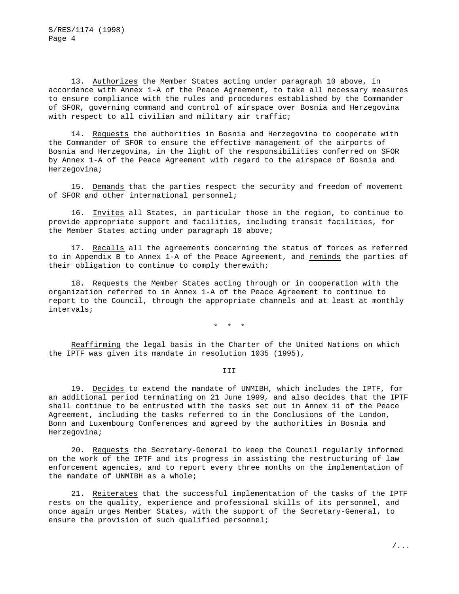13. Authorizes the Member States acting under paragraph 10 above, in accordance with Annex 1-A of the Peace Agreement, to take all necessary measures to ensure compliance with the rules and procedures established by the Commander of SFOR, governing command and control of airspace over Bosnia and Herzegovina with respect to all civilian and military air traffic;

14. Requests the authorities in Bosnia and Herzegovina to cooperate with the Commander of SFOR to ensure the effective management of the airports of Bosnia and Herzegovina, in the light of the responsibilities conferred on SFOR by Annex 1-A of the Peace Agreement with regard to the airspace of Bosnia and Herzegovina;

15. Demands that the parties respect the security and freedom of movement of SFOR and other international personnel;

16. Invites all States, in particular those in the region, to continue to provide appropriate support and facilities, including transit facilities, for the Member States acting under paragraph 10 above;

17. Recalls all the agreements concerning the status of forces as referred to in Appendix B to Annex 1-A of the Peace Agreement, and reminds the parties of their obligation to continue to comply therewith;

18. Requests the Member States acting through or in cooperation with the organization referred to in Annex 1-A of the Peace Agreement to continue to report to the Council, through the appropriate channels and at least at monthly intervals;

\*\*\*

Reaffirming the legal basis in the Charter of the United Nations on which the IPTF was given its mandate in resolution 1035 (1995),

III

19. Decides to extend the mandate of UNMIBH, which includes the IPTF, for an additional period terminating on 21 June 1999, and also decides that the IPTF shall continue to be entrusted with the tasks set out in Annex 11 of the Peace Agreement, including the tasks referred to in the Conclusions of the London, Bonn and Luxembourg Conferences and agreed by the authorities in Bosnia and Herzegovina;

20. Requests the Secretary-General to keep the Council regularly informed on the work of the IPTF and its progress in assisting the restructuring of law enforcement agencies, and to report every three months on the implementation of the mandate of UNMIBH as a whole;

21. Reiterates that the successful implementation of the tasks of the IPTF rests on the quality, experience and professional skills of its personnel, and once again urges Member States, with the support of the Secretary-General, to ensure the provision of such qualified personnel;